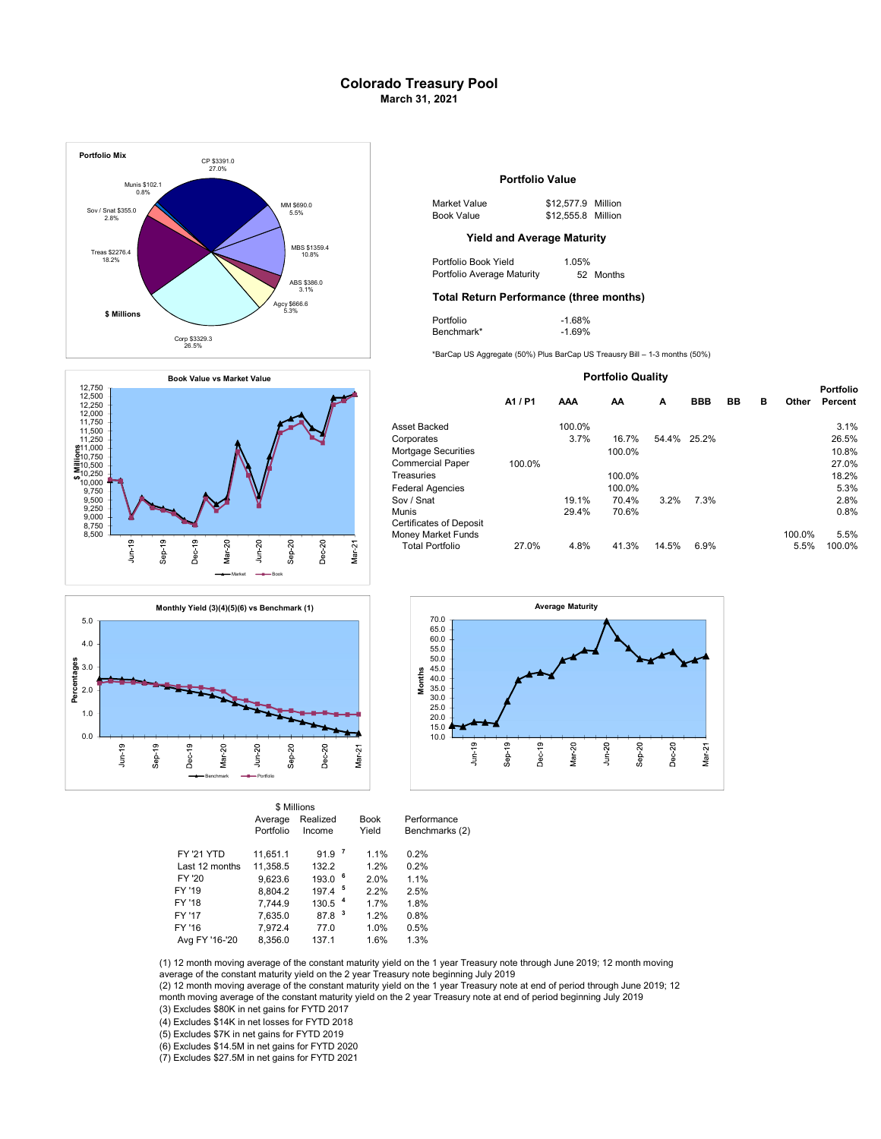## Colorado Treasury Pool March 31, 2021







|                   |                      | \$ Millions          |              |                      |                               |
|-------------------|----------------------|----------------------|--------------|----------------------|-------------------------------|
|                   | Average<br>Portfolio | Realized<br>Income   |              | <b>Book</b><br>Yield | Performance<br>Benchmarks (2) |
| <b>FY '21 YTD</b> | 11.651.1             | 91.9 <sup>7</sup>    |              | 1.1%                 | 0.2%                          |
| Last 12 months    | 11.358.5             | 132.2                |              | 1.2%                 | 0.2%                          |
| FY '20            | 9.623.6              | 193.0                | - 6          | 2.0%                 | 1.1%                          |
| FY '19            | 8.804.2              | $197.4$ <sup>5</sup> |              | 2.2%                 | 2.5%                          |
| FY '18            | 7.744.9              | 130.5 <sup>4</sup>   |              | 1.7%                 | 1.8%                          |
| FY '17            | 7.635.0              | 87.8                 | $\mathbf{3}$ | 1.2%                 | 0.8%                          |
| FY '16            | 7.972.4              | 77.0                 |              | 1.0%                 | 0.5%                          |
| Avg FY '16-'20    | 8.356.0              | 137.1                |              | 1.6%                 | 1.3%                          |

### Portfolio Value

| 1 \$690.0 | Market Value | \$12.577.9 Million |
|-----------|--------------|--------------------|
| 5.5%      | Book Value   | \$12,555.8 Million |

## Yield and Average Maturity

Portfolio Average Maturity 52 Months

# Total Return Performance (three months) 3.1%

| Portfolio  | $-1.68%$ |
|------------|----------|
| Benchmark* | $-1.69%$ |

#### Portfolio Quality

|         |        |        |       |            |    |   |        | <b>Portfolio</b> |
|---------|--------|--------|-------|------------|----|---|--------|------------------|
| A1 / P1 | AAA    | AΑ     | A     | <b>BBB</b> | BB | в | Other  | Percent          |
|         | 100.0% |        |       |            |    |   |        | 3.1%             |
|         | 3.7%   | 16.7%  | 54.4% | 25.2%      |    |   |        | 26.5%            |
|         |        | 100.0% |       |            |    |   |        | 10.8%            |
| 100.0%  |        |        |       |            |    |   |        | 27.0%            |
|         |        | 100.0% |       |            |    |   |        | 18.2%            |
|         |        | 100.0% |       |            |    |   |        | 5.3%             |
|         | 19.1%  | 70.4%  | 3.2%  | 7.3%       |    |   |        | 2.8%             |
|         | 29.4%  | 70.6%  |       |            |    |   |        | 0.8%             |
|         |        |        |       |            |    |   | 100.0% | 5.5%             |
| 27.0%   | 4.8%   | 41.3%  | 14.5% | 6.9%       |    |   |        | 100.0%           |
|         |        |        |       |            |    |   |        | 5.5%             |



(1) 12 month moving average of the constant maturity yield on the 1 year Treasury note through June 2019; 12 month moving

average of the constant maturity yield on the 2 year Treasury note beginning July 2019

(3) Excludes \$80K in net gains for FYTD 2017 (2) 12 month moving average of the constant maturity yield on the 1 year Treasury note at end of period through June 2019; 12 month moving average of the constant maturity yield on the 2 year Treasury note at end of period beginning July 2019

(4) Excludes \$14K in net losses for FYTD 2018

(5) Excludes \$7K in net gains for FYTD 2019

(6) Excludes \$14.5M in net gains for FYTD 2020

(7) Excludes \$27.5M in net gains for FYTD 2021